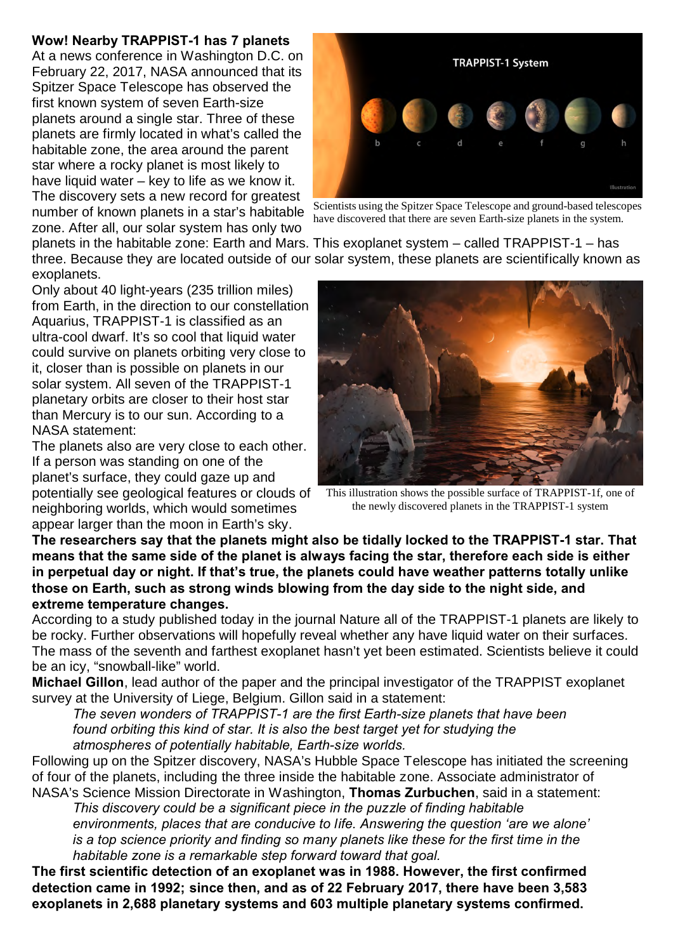## **Wow! Nearby TRAPPIST-1 has 7 planets**

At a news conference in Washington D.C. on February 22, 2017, NASA announced that its Spitzer Space Telescope has observed the first known system of seven Earth-size planets around a single star. Three of these planets are firmly located in what's called the habitable zone, the area around the parent star where a rocky planet is most likely to have liquid water – key to life as we know it. The discovery sets a new record for greatest number of known planets in a star's habitable zone. After all, our solar system has only two



Scientists using the Spitzer Space Telescope and ground-based telescopes have discovered that there are seven Earth-size planets in the system.

planets in the habitable zone: Earth and Mars. This exoplanet system – called TRAPPIST-1 – has three. Because they are located outside of our solar system, these planets are scientifically known as exoplanets.

Only about 40 light-years (235 trillion miles) from Earth, in the direction to our constellation Aquarius, TRAPPIST-1 is classified as an ultra-cool dwarf. It's so cool that liquid water could survive on planets orbiting very close to it, closer than is possible on planets in our solar system. All seven of the TRAPPIST-1 planetary orbits are closer to their host star than Mercury is to our sun. According to a NASA statement:

The planets also are very close to each other. If a person was standing on one of the planet's surface, they could gaze up and potentially see geological features or clouds of neighboring worlds, which would sometimes appear larger than the moon in Earth's sky.



This illustration shows the possible surface of TRAPPIST-1f, one of the newly discovered planets in the TRAPPIST-1 system

**The researchers say that the planets might also be tidally locked to the TRAPPIST-1 star. That means that the same side of the planet is always facing the star, therefore each side is either in perpetual day or night. If that's true, the planets could have weather patterns totally unlike those on Earth, such as strong winds blowing from the day side to the night side, and extreme temperature changes.**

According to a study published today in the journal Nature all of the TRAPPIST-1 planets are likely to be rocky. Further observations will hopefully reveal whether any have liquid water on their surfaces. The mass of the seventh and farthest exoplanet hasn't yet been estimated. Scientists believe it could be an icy, "snowball-like" world.

**Michael Gillon**, lead author of the paper and the principal investigator of the TRAPPIST exoplanet survey at the University of Liege, Belgium. Gillon said in a statement:

*The seven wonders of TRAPPIST-1 are the first Earth-size planets that have been found orbiting this kind of star. It is also the best target yet for studying the atmospheres of potentially habitable, Earth-size worlds.*

Following up on the Spitzer discovery, NASA's Hubble Space Telescope has initiated the screening of four of the planets, including the three inside the habitable zone. Associate administrator of NASA's Science Mission Directorate in Washington, **Thomas Zurbuchen**, said in a statement:

*This discovery could be a significant piece in the puzzle of finding habitable environments, places that are conducive to life. Answering the question 'are we alone' is a top science priority and finding so many planets like these for the first time in the habitable zone is a remarkable step forward toward that goal.*

**The first scientific detection of an exoplanet was in 1988. However, the first confirmed detection came in 1992; since then, and as of 22 February 2017, there have been 3,583 exoplanets in 2,688 planetary systems and 603 multiple planetary systems confirmed.**